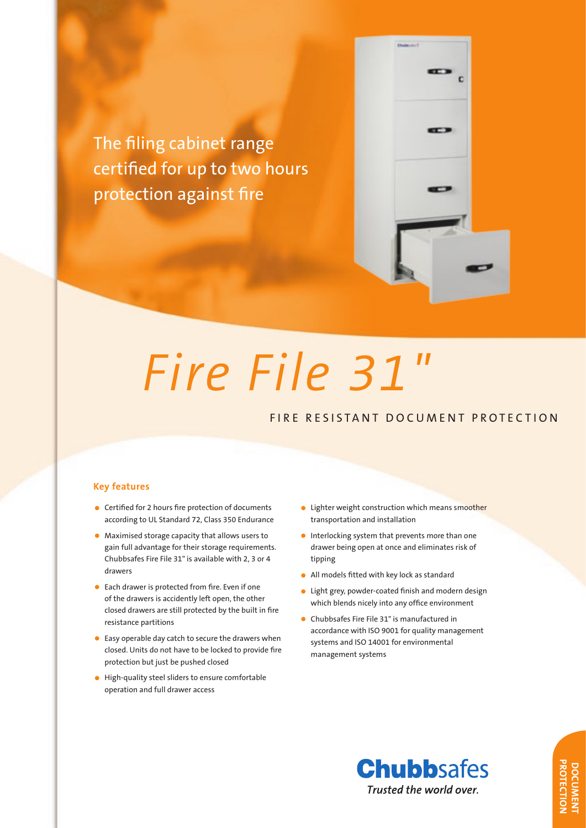The filing cabinet range certified for up to two hours protection against fire



# *Fire File 31"*

# FIRE RESISTANT DOCUMENT PROTECTION

### **Key features**

- Certified for 2 hours fire protection of documents according to UL Standard 72, Class 350 Endurance
- Maximised storage capacity that allows users to gain full advantage for their storage requirements. Chubbsafes Fire File 31" is available with 2, 3 or 4 drawers
- Each drawer is protected from fire. Even if one of the drawers is accidently left open, the other closed drawers are still protected by the built in fire resistance partitions
- Easy operable day catch to secure the drawers when closed. Units do not have to be locked to provide fire protection but just be pushed closed
- High-quality steel sliders to ensure comfortable operation and full drawer access
- Lighter weight construction which means smoother transportation and installation
- Interlocking system that prevents more than one drawer being open at once and eliminates risk of tipping
- All models fitted with key lock as standard
- Light grey, powder-coated finish and modern design which blends nicely into any office environment
- Chubbsafes Fire File 31" is manufactured in accordance with ISO 9001 for quality management systems and ISO 14001 for environmental management systems